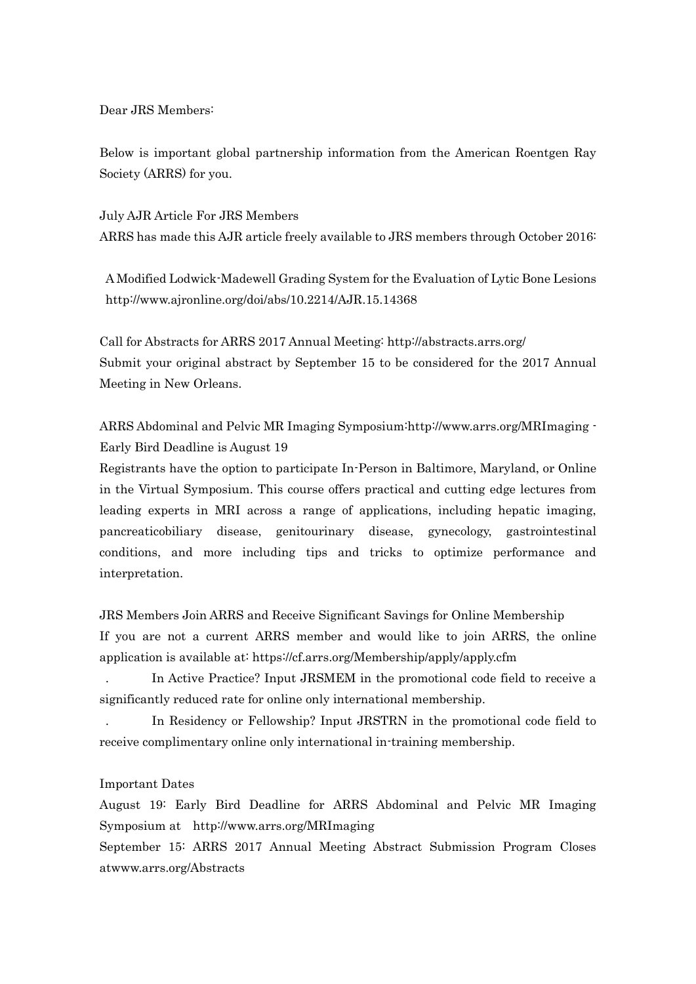Dear JRS Members:

Below is important global partnership information from the American Roentgen Ray Society (ARRS) for you.

July AJR Article For JRS Members ARRS has made this AJR article freely available to JRS members through October 2016:

A Modified Lodwick-Madewell Grading System for the Evaluation of Lytic Bone Lesions http://www.ajronline.org/doi/abs/10.2214/AJR.15.14368

Call for Abstracts for ARRS 2017 Annual Meeting: http://abstracts.arrs.org/ Submit your original abstract by September 15 to be considered for the 2017 Annual Meeting in New Orleans.

ARRS Abdominal and Pelvic MR Imaging Symposium:http://www.arrs.org/MRImaging - Early Bird Deadline is August 19

Registrants have the option to participate In-Person in Baltimore, Maryland, or Online in the Virtual Symposium. This course offers practical and cutting edge lectures from leading experts in MRI across a range of applications, including hepatic imaging, pancreaticobiliary disease, genitourinary disease, gynecology, gastrointestinal conditions, and more including tips and tricks to optimize performance and interpretation.

JRS Members Join ARRS and Receive Significant Savings for Online Membership If you are not a current ARRS member and would like to join ARRS, the online application is available at: https://cf.arrs.org/Membership/apply/apply.cfm

. In Active Practice? Input JRSMEM in the promotional code field to receive a significantly reduced rate for online only international membership.

. In Residency or Fellowship? Input JRSTRN in the promotional code field to receive complimentary online only international in-training membership.

## Important Dates

August 19: Early Bird Deadline for ARRS Abdominal and Pelvic MR Imaging Symposium at http://www.arrs.org/MRImaging

September 15: ARRS 2017 Annual Meeting Abstract Submission Program Closes atwww.arrs.org/Abstracts